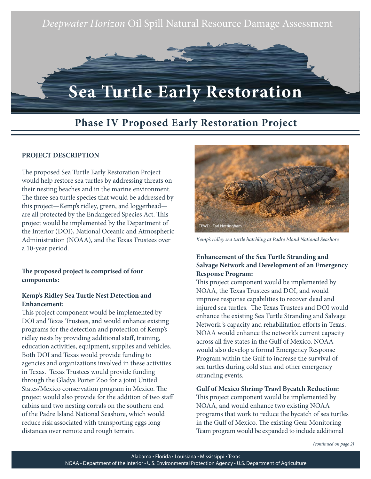

# **Phase IV Proposed Early Restoration Project**

#### **PROJECT DESCRIPTION**

The proposed Sea Turtle Early Restoration Project would help restore sea turtles by addressing threats on their nesting beaches and in the marine environment. The three sea turtle species that would be addressed by this project—Kemp's ridley, green, and loggerhead are all protected by the Endangered Species Act. This project would be implemented by the Department of the Interior (DOI), National Oceanic and Atmospheric Administration (NOAA), and the Texas Trustees over a 10-year period.

#### **The proposed project is comprised of four components:**

### **Kemp's Ridley Sea Turtle Nest Detection and Enhancement:**

This project component would be implemented by DOI and Texas Trustees, and would enhance existing programs for the detection and protection of Kemp's ridley nests by providing additional staff, training, education activities, equipment, supplies and vehicles. Both DOI and Texas would provide funding to agencies and organizations involved in these activities in Texas. Texas Trustees would provide funding through the Gladys Porter Zoo for a joint United States/Mexico conservation program in Mexico. The project would also provide for the addition of two staff cabins and two nesting corrals on the southern end of the Padre Island National Seashore, which would reduce risk associated with transporting eggs long distances over remote and rough terrain.



*Kemp's ridley sea turtle hatchling at Padre Island National Seashore*

## **Enhancement of the Sea Turtle Stranding and Salvage Network and Development of an Emergency Response Program:**

This project component would be implemented by NOAA, the Texas Trustees and DOI, and would improve response capabilities to recover dead and injured sea turtles. The Texas Trustees and DOI would enhance the existing Sea Turtle Stranding and Salvage Network 's capacity and rehabilitation efforts in Texas. NOAA would enhance the network's current capacity across all five states in the Gulf of Mexico. NOAA would also develop a formal Emergency Response Program within the Gulf to increase the survival of sea turtles during cold stun and other emergency stranding events.

**Gulf of Mexico Shrimp Trawl Bycatch Reduction:**  This project component would be implemented by NOAA, and would enhance two existing NOAA programs that work to reduce the bycatch of sea turtles in the Gulf of Mexico. The existing Gear Monitoring Team program would be expanded to include additional